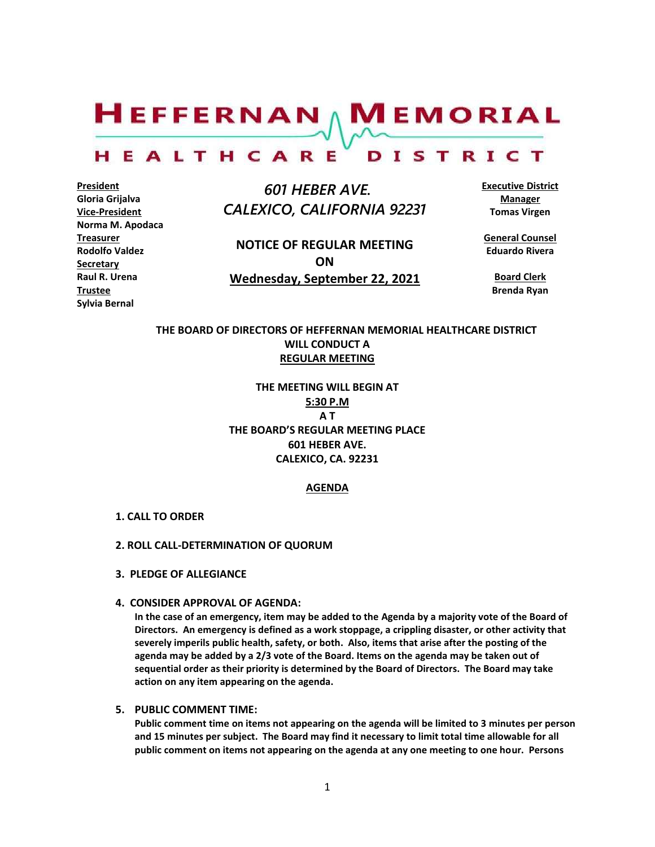$H$ EFFERNAN  $\wedge$  M EMORIAL

#### HEALTHCARE DISTRICT

**President Gloria Grijalva Vice-President Norma M. Apodaca Treasurer Rodolfo Valdez Secretary Raul R. Urena Trustee Sylvia Bernal**

 *601 HEBER AVE. CALEXICO, CALIFORNIA 92231*

**NOTICE OF REGULAR MEETING ON Wednesday, September 22, 2021** **Executive District Manager Tomas Virgen**

**General Counsel Eduardo Rivera**

**Board Clerk Brenda Ryan**

## **THE BOARD OF DIRECTORS OF HEFFERNAN MEMORIAL HEALTHCARE DISTRICT WILL CONDUCT A REGULAR MEETING**

**THE MEETING WILL BEGIN AT 5:30 P.M A T THE BOARD'S REGULAR MEETING PLACE 601 HEBER AVE. CALEXICO, CA. 92231**

#### **AGENDA**

#### **1. CALL TO ORDER**

#### **2. ROLL CALL-DETERMINATION OF QUORUM**

- **3. PLEDGE OF ALLEGIANCE**
- **4. CONSIDER APPROVAL OF AGENDA:**

**In the case of an emergency, item may be added to the Agenda by a majority vote of the Board of Directors. An emergency is defined as a work stoppage, a crippling disaster, or other activity that severely imperils public health, safety, or both. Also, items that arise after the posting of the agenda may be added by a 2/3 vote of the Board. Items on the agenda may be taken out of sequential order as their priority is determined by the Board of Directors. The Board may take action on any item appearing on the agenda.**

#### **5. PUBLIC COMMENT TIME:**

**Public comment time on items not appearing on the agenda will be limited to 3 minutes per person and 15 minutes per subject. The Board may find it necessary to limit total time allowable for all public comment on items not appearing on the agenda at any one meeting to one hour. Persons**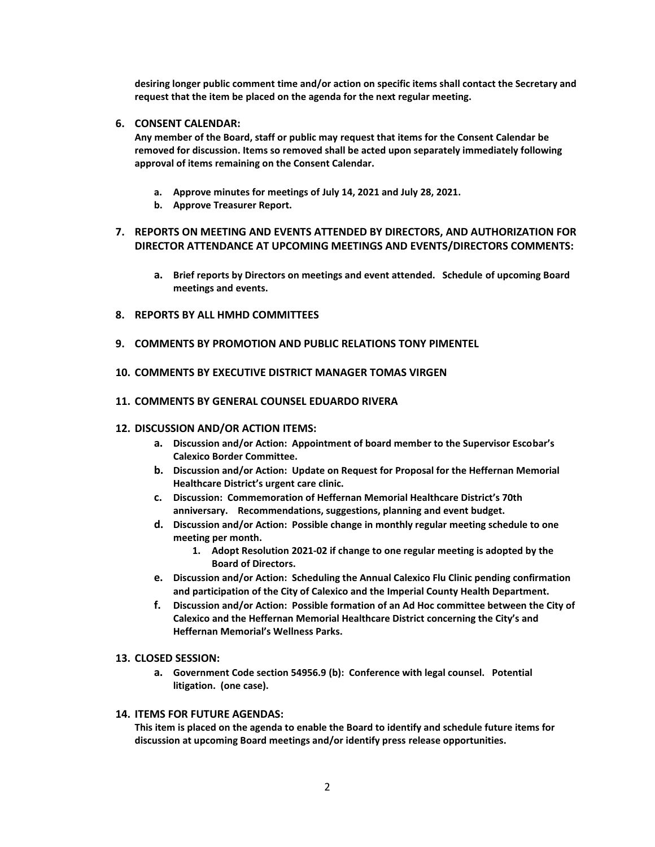**desiring longer public comment time and/or action on specific items shall contact the Secretary and request that the item be placed on the agenda for the next regular meeting.**

### **6. CONSENT CALENDAR:**

**Any member of the Board, staff or public may request that items for the Consent Calendar be removed for discussion. Items so removed shall be acted upon separately immediately following approval of items remaining on the Consent Calendar.**

- **a. Approve minutes for meetings of July 14, 2021 and July 28, 2021.**
- **b. Approve Treasurer Report.**

## **7. REPORTS ON MEETING AND EVENTS ATTENDED BY DIRECTORS, AND AUTHORIZATION FOR DIRECTOR ATTENDANCE AT UPCOMING MEETINGS AND EVENTS/DIRECTORS COMMENTS:**

- **a. Brief reports by Directors on meetings and event attended. Schedule of upcoming Board meetings and events.**
- **8. REPORTS BY ALL HMHD COMMITTEES**
- **9. COMMENTS BY PROMOTION AND PUBLIC RELATIONS TONY PIMENTEL**
- **10. COMMENTS BY EXECUTIVE DISTRICT MANAGER TOMAS VIRGEN**
- **11. COMMENTS BY GENERAL COUNSEL EDUARDO RIVERA**

#### **12. DISCUSSION AND/OR ACTION ITEMS:**

- **a. Discussion and/or Action: Appointment of board member to the Supervisor Escobar's Calexico Border Committee.**
- **b. Discussion and/or Action: Update on Request for Proposal for the Heffernan Memorial Healthcare District's urgent care clinic.**
- **c. Discussion: Commemoration of Heffernan Memorial Healthcare District's 70th anniversary. Recommendations, suggestions, planning and event budget.**
- **d. Discussion and/or Action: Possible change in monthly regular meeting schedule to one meeting per month.** 
	- **1. Adopt Resolution 2021-02 if change to one regular meeting is adopted by the Board of Directors.**
- **e. Discussion and/or Action: Scheduling the Annual Calexico Flu Clinic pending confirmation and participation of the City of Calexico and the Imperial County Health Department.**
- **f. Discussion and/or Action: Possible formation of an Ad Hoc committee between the City of Calexico and the Heffernan Memorial Healthcare District concerning the City's and Heffernan Memorial's Wellness Parks.**

#### **13. CLOSED SESSION:**

**a. Government Code section 54956.9 (b): Conference with legal counsel. Potential litigation. (one case).**

#### **14. ITEMS FOR FUTURE AGENDAS:**

**This item is placed on the agenda to enable the Board to identify and schedule future items for discussion at upcoming Board meetings and/or identify press release opportunities.**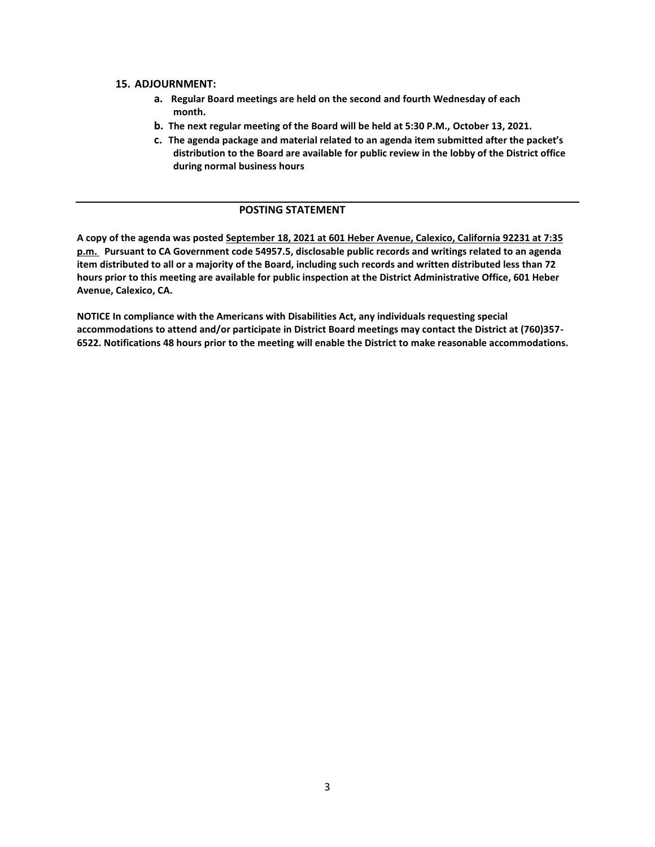#### **15. ADJOURNMENT:**

- **a. Regular Board meetings are held on the second and fourth Wednesday of each month.**
- **b. The next regular meeting of the Board will be held at 5:30 P.M., October 13, 2021.**
- **c. The agenda package and material related to an agenda item submitted after the packet's distribution to the Board are available for public review in the lobby of the District office during normal business hours**

## **POSTING STATEMENT**

**A copy of the agenda was posted September 18, 2021 at 601 Heber Avenue, Calexico, California 92231 at 7:35 p.m. Pursuant to CA Government code 54957.5, disclosable public records and writings related to an agenda item distributed to all or a majority of the Board, including such records and written distributed less than 72 hours prior to this meeting are available for public inspection at the District Administrative Office, 601 Heber Avenue, Calexico, CA.**

**NOTICE In compliance with the Americans with Disabilities Act, any individuals requesting special accommodations to attend and/or participate in District Board meetings may contact the District at (760)357- 6522. Notifications 48 hours prior to the meeting will enable the District to make reasonable accommodations.**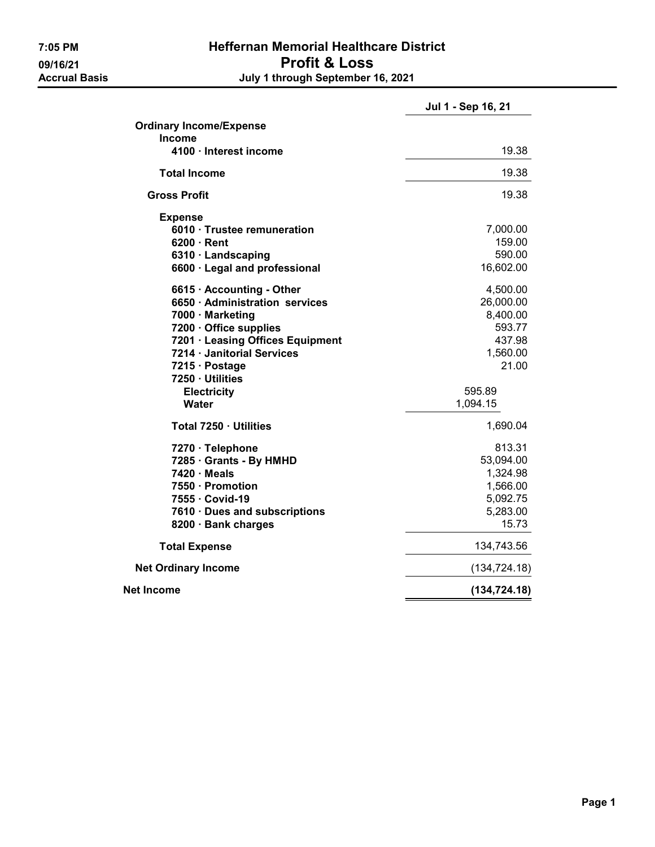## 7:05 PM Heffernan Memorial Healthcare District 09/16/21 Profit & Loss<br>Accrual Basis degree of the July 1 through September 1 July 1 through September 16, 2021

|                                  | Jul 1 - Sep 16, 21 |  |
|----------------------------------|--------------------|--|
| <b>Ordinary Income/Expense</b>   |                    |  |
| <b>Income</b>                    |                    |  |
| 4100 · Interest income           | 19.38              |  |
| <b>Total Income</b>              | 19.38              |  |
| Gross Profit                     | 19.38              |  |
| <b>Expense</b>                   |                    |  |
| 6010 · Trustee remuneration      | 7,000.00           |  |
| $6200 \cdot$ Rent                | 159.00             |  |
| 6310 · Landscaping               | 590.00             |  |
| 6600 · Legal and professional    | 16,602.00          |  |
| 6615 · Accounting - Other        | 4,500.00           |  |
| 6650 · Administration services   | 26,000.00          |  |
| 7000 · Marketing                 | 8,400.00           |  |
| 7200 · Office supplies           | 593.77             |  |
| 7201 · Leasing Offices Equipment | 437.98             |  |
| 7214 · Janitorial Services       | 1,560.00           |  |
| 7215 · Postage                   | 21.00              |  |
| 7250 · Utilities                 |                    |  |
| <b>Electricity</b>               | 595.89             |  |
| <b>Water</b>                     | 1,094.15           |  |
| Total 7250 · Utilities           | 1,690.04           |  |
| 7270 · Telephone                 | 813.31             |  |
| 7285 · Grants - By HMHD          | 53,094.00          |  |
| $7420 \cdot Meals$               | 1,324.98           |  |
| 7550 · Promotion                 | 1,566.00           |  |
| 7555 · Covid-19                  | 5,092.75           |  |
| 7610 Dues and subscriptions      | 5,283.00           |  |
| 8200 · Bank charges              | 15.73              |  |
| <b>Total Expense</b>             | 134,743.56         |  |
| <b>Net Ordinary Income</b>       | (134, 724.18)      |  |
| Net Income                       | (134, 724.18)      |  |
|                                  |                    |  |